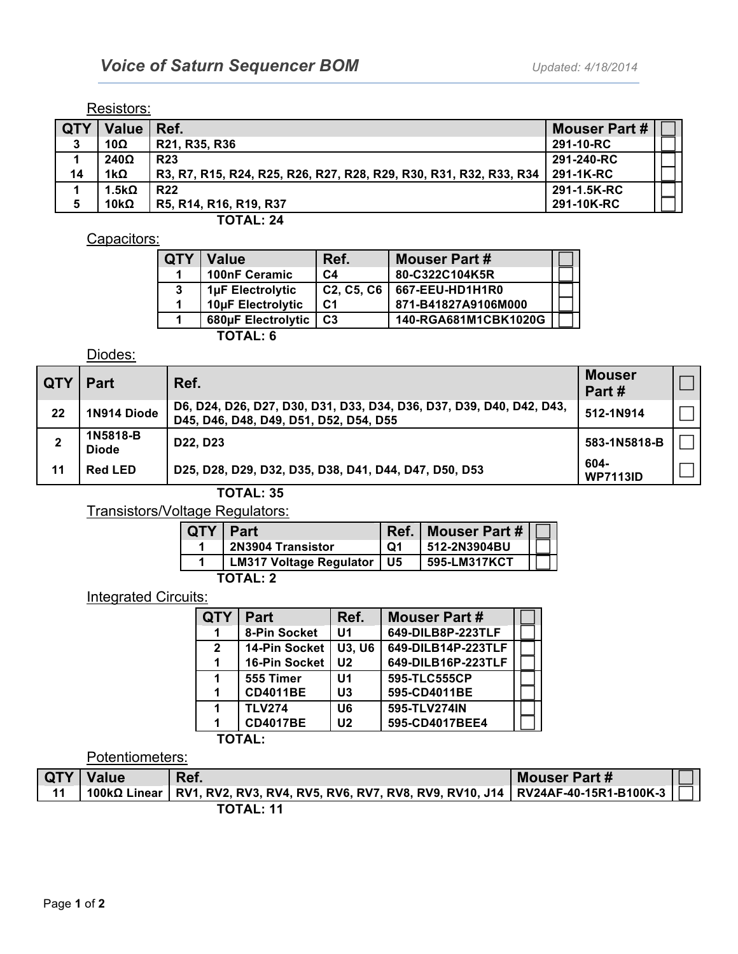#### Resistors:

| <b>LQTY</b> | Value   Ref. |                                                                    | <b>Mouser Part #</b> |  |
|-------------|--------------|--------------------------------------------------------------------|----------------------|--|
| 3           | 10Ω          | R21, R35, R36                                                      | 291-10-RC            |  |
|             | $240\Omega$  | <b>R23</b>                                                         | 291-240-RC           |  |
| 14          | 1kΩ          | R3, R7, R15, R24, R25, R26, R27, R28, R29, R30, R31, R32, R33, R34 | 291-1K-RC            |  |
|             | .5kΩ         | <b>R22</b>                                                         | 291-1.5K-RC          |  |
| 5           | 10k $\Omega$ | R5, R14, R16, R19, R37                                             | 291-10K-RC           |  |

**TOTAL: 24**

#### Capacitors:

| <b>QTY</b> | <b>Value</b>       | Ref.                                             | <b>Mouser Part#</b>  |  |
|------------|--------------------|--------------------------------------------------|----------------------|--|
|            | 100nF Ceramic      | C <sub>4</sub>                                   | 80-C322C104K5R       |  |
| 3          | 1µF Electrolytic   | C <sub>2</sub> , C <sub>5</sub> , C <sub>6</sub> | 667-EEU-HD1H1R0      |  |
|            | 10µF Electrolytic  | C <sub>1</sub>                                   | 871-B41827A9106M000  |  |
|            | 680µF Electrolytic | C <sub>3</sub>                                   | 140-RGA681M1CBK1020G |  |
|            | <b>TOTAL: 6</b>    |                                                  |                      |  |

### Diodes:

| <b>QTY</b> | <b>Part</b>              | Ref.                                                                                                           | <b>Mouser</b><br>Part#  |  |
|------------|--------------------------|----------------------------------------------------------------------------------------------------------------|-------------------------|--|
| 22         | 1N914 Diode              | D6, D24, D26, D27, D30, D31, D33, D34, D36, D37, D39, D40, D42, D43,<br>D45, D46, D48, D49, D51, D52, D54, D55 | 512-1N914               |  |
| 2          | 1N5818-B<br><b>Diode</b> | D <sub>22</sub> , D <sub>23</sub>                                                                              | 583-1N5818-B            |  |
| 11         | <b>Red LED</b>           | D25, D28, D29, D32, D35, D38, D41, D44, D47, D50, D53                                                          | 604-<br><b>WP7113ID</b> |  |
|            |                          | TATAL AF                                                                                                       |                         |  |

**TOTAL: 35**

Transistors/Voltage Regulators:

| QTY   Part |                              |    | Ref.   Mouser Part # |  |  |
|------------|------------------------------|----|----------------------|--|--|
|            | 2N3904 Transistor            | O1 | 512-2N3904BU         |  |  |
|            | LM317 Voltage Regulator   U5 |    | 595-LM317KCT         |  |  |
| TOTAL: 2   |                              |    |                      |  |  |

### **Integrated Circuits:**

| ΥΤΩ          | <b>Part</b>          | Ref.           | <b>Mouser Part #</b> |  |  |  |
|--------------|----------------------|----------------|----------------------|--|--|--|
| 1            | 8-Pin Socket         | U1             | 649-DILB8P-223TLF    |  |  |  |
| $\mathbf{2}$ | <b>14-Pin Socket</b> | <b>U3, U6</b>  | 649-DILB14P-223TLF   |  |  |  |
| 1            | 16-Pin Socket        | U <sub>2</sub> | 649-DILB16P-223TLF   |  |  |  |
| 1            | 555 Timer            | U1             | 595-TLC555CP         |  |  |  |
| 1            | <b>CD4011BE</b>      | U3             | 595-CD4011BE         |  |  |  |
| 1            | <b>TLV274</b>        | U6             | 595-TLV274IN         |  |  |  |
| 1            | <b>CD4017BE</b>      | U <sub>2</sub> | 595-CD4017BEE4       |  |  |  |
|              | <b>TOTAL:</b>        |                |                      |  |  |  |

### Potentiometers:

| l QTY | <b>Value</b> | Ref.                                                                                           | <b>Mouser Part #</b> |  |
|-------|--------------|------------------------------------------------------------------------------------------------|----------------------|--|
| 11    |              | 100kΩ Linear   RV1, RV2, RV3, RV4, RV5, RV6, RV7, RV8, RV9, RV10, J14   RV24AF-40-15R1-B100K-3 |                      |  |
|       |              | <b>TOTAL: 11</b>                                                                               |                      |  |